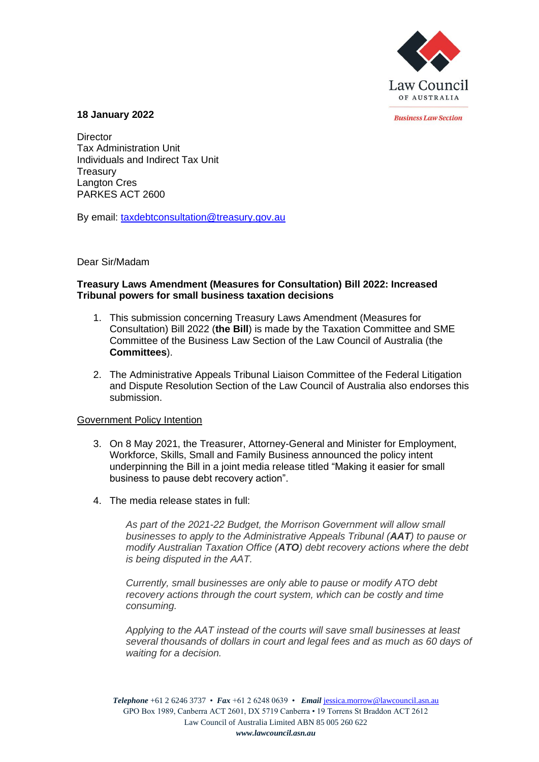

*<u>Rusiness Law Section</u>* 

#### **18 January 2022**

**Director** Tax Administration Unit Individuals and Indirect Tax Unit **Treasury** Langton Cres PARKES ACT 2600

By email: [taxdebtconsultation@treasury.gov.au](mailto:taxdebtconsultation@treasury.gov.au)

Dear Sir/Madam

### **Treasury Laws Amendment (Measures for Consultation) Bill 2022: Increased Tribunal powers for small business taxation decisions**

- 1. This submission concerning Treasury Laws Amendment (Measures for Consultation) Bill 2022 (**the Bill**) is made by the Taxation Committee and SME Committee of the Business Law Section of the Law Council of Australia (the **Committees**).
- 2. The Administrative Appeals Tribunal Liaison Committee of the Federal Litigation and Dispute Resolution Section of the Law Council of Australia also endorses this submission.

## Government Policy Intention

- 3. On 8 May 2021, the Treasurer, Attorney-General and Minister for Employment, Workforce, Skills, Small and Family Business announced the policy intent underpinning the Bill in a joint media release titled "Making it easier for small business to pause debt recovery action".
- 4. The media release states in full:

*As part of the 2021-22 Budget, the Morrison Government will allow small businesses to apply to the Administrative Appeals Tribunal (AAT) to pause or modify Australian Taxation Office (ATO) debt recovery actions where the debt is being disputed in the AAT.* 

*Currently, small businesses are only able to pause or modify ATO debt recovery actions through the court system, which can be costly and time consuming.* 

*Applying to the AAT instead of the courts will save small businesses at least several thousands of dollars in court and legal fees and as much as 60 days of waiting for a decision.* 

*Telephone* +61 2 6246 3737 • *Fax* +61 2 6248 0639 • *Email* [jessica.morrow@lawcouncil.asn.au](mailto:jessica.morrow@lawcouncil.asn.au) GPO Box 1989, Canberra ACT 2601, DX 5719 Canberra • 19 Torrens St Braddon ACT 2612 Law Council of Australia Limited ABN 85 005 260 622 *www.lawcouncil.asn.au*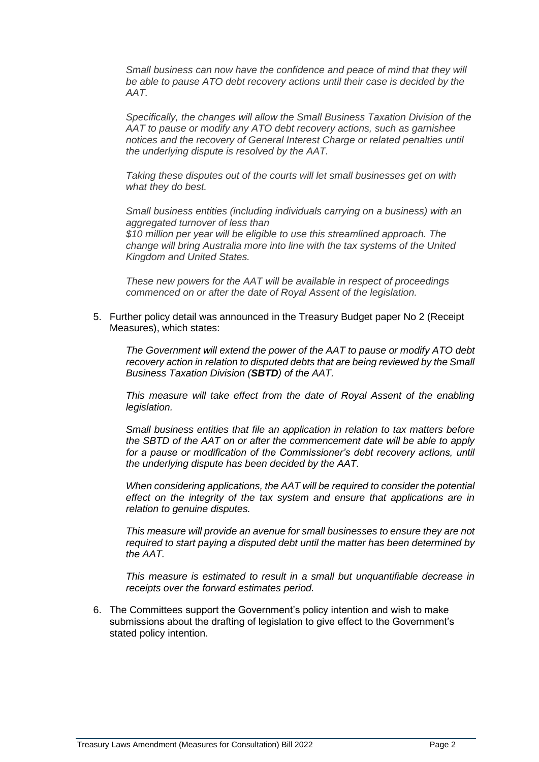*Small business can now have the confidence and peace of mind that they will be able to pause ATO debt recovery actions until their case is decided by the AAT.* 

*Specifically, the changes will allow the Small Business Taxation Division of the AAT to pause or modify any ATO debt recovery actions, such as garnishee notices and the recovery of General Interest Charge or related penalties until the underlying dispute is resolved by the AAT.* 

*Taking these disputes out of the courts will let small businesses get on with what they do best.* 

*Small business entities (including individuals carrying on a business) with an aggregated turnover of less than \$10 million per year will be eligible to use this streamlined approach. The* 

*change will bring Australia more into line with the tax systems of the United Kingdom and United States.* 

*These new powers for the AAT will be available in respect of proceedings commenced on or after the date of Royal Assent of the legislation.* 

5. Further policy detail was announced in the Treasury Budget paper No 2 (Receipt Measures), which states:

*The Government will extend the power of the AAT to pause or modify ATO debt recovery action in relation to disputed debts that are being reviewed by the Small Business Taxation Division (SBTD) of the AAT.*

*This measure will take effect from the date of Royal Assent of the enabling legislation.*

*Small business entities that file an application in relation to tax matters before the SBTD of the AAT on or after the commencement date will be able to apply*  for a pause or modification of the Commissioner's debt recovery actions, until *the underlying dispute has been decided by the AAT.*

*When considering applications, the AAT will be required to consider the potential effect on the integrity of the tax system and ensure that applications are in relation to genuine disputes.*

*This measure will provide an avenue for small businesses to ensure they are not required to start paying a disputed debt until the matter has been determined by the AAT.*

*This measure is estimated to result in a small but unquantifiable decrease in receipts over the forward estimates period.*

6. The Committees support the Government's policy intention and wish to make submissions about the drafting of legislation to give effect to the Government's stated policy intention.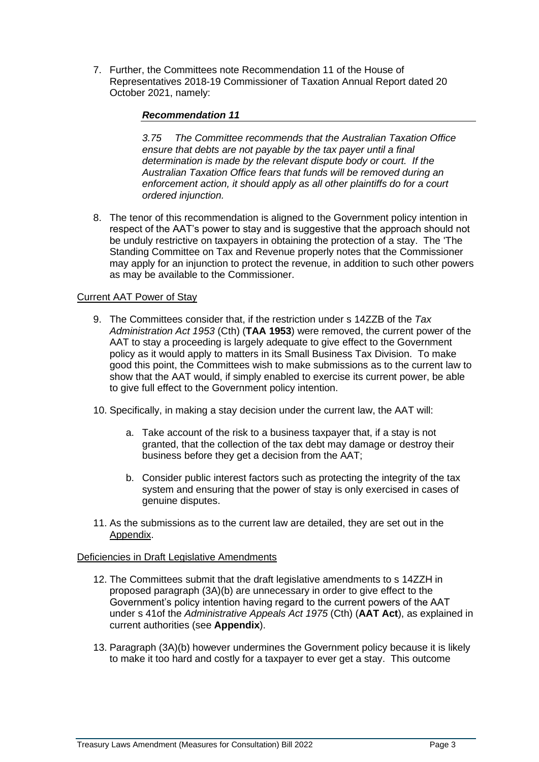7. Further, the Committees note Recommendation 11 of the House of Representatives 2018-19 Commissioner of Taxation Annual Report dated 20 October 2021, namely:

## *Recommendation 11*

*3.75 The Committee recommends that the Australian Taxation Office ensure that debts are not payable by the tax payer until a final determination is made by the relevant dispute body or court. If the Australian Taxation Office fears that funds will be removed during an enforcement action, it should apply as all other plaintiffs do for a court ordered injunction.*

8. The tenor of this recommendation is aligned to the Government policy intention in respect of the AAT's power to stay and is suggestive that the approach should not be unduly restrictive on taxpayers in obtaining the protection of a stay. The 'The Standing Committee on Tax and Revenue properly notes that the Commissioner may apply for an injunction to protect the revenue, in addition to such other powers as may be available to the Commissioner.

# Current AAT Power of Stay

- 9. The Committees consider that, if the restriction under s 14ZZB of the *Tax Administration Act 1953* (Cth) (**TAA 1953**) were removed, the current power of the AAT to stay a proceeding is largely adequate to give effect to the Government policy as it would apply to matters in its Small Business Tax Division. To make good this point, the Committees wish to make submissions as to the current law to show that the AAT would, if simply enabled to exercise its current power, be able to give full effect to the Government policy intention.
- 10. Specifically, in making a stay decision under the current law, the AAT will:
	- a. Take account of the risk to a business taxpayer that, if a stay is not granted, that the collection of the tax debt may damage or destroy their business before they get a decision from the AAT;
	- b. Consider public interest factors such as protecting the integrity of the tax system and ensuring that the power of stay is only exercised in cases of genuine disputes.
- 11. As the submissions as to the current law are detailed, they are set out in the Appendix.

## Deficiencies in Draft Legislative Amendments

- 12. The Committees submit that the draft legislative amendments to s 14ZZH in proposed paragraph (3A)(b) are unnecessary in order to give effect to the Government's policy intention having regard to the current powers of the AAT under s 41of the *Administrative Appeals Act 1975* (Cth) (**AAT Act**), as explained in current authorities (see **Appendix**).
- 13. Paragraph (3A)(b) however undermines the Government policy because it is likely to make it too hard and costly for a taxpayer to ever get a stay. This outcome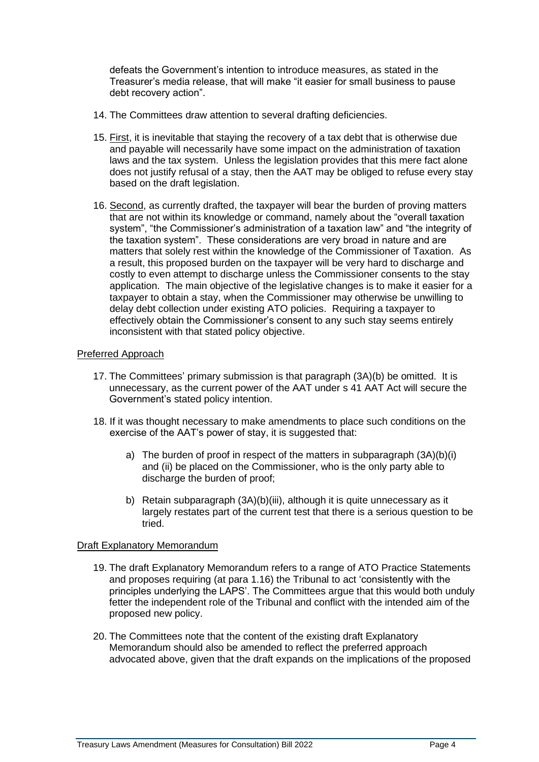defeats the Government's intention to introduce measures, as stated in the Treasurer's media release, that will make "it easier for small business to pause debt recovery action".

- 14. The Committees draw attention to several drafting deficiencies.
- 15. First, it is inevitable that staying the recovery of a tax debt that is otherwise due and payable will necessarily have some impact on the administration of taxation laws and the tax system. Unless the legislation provides that this mere fact alone does not justify refusal of a stay, then the AAT may be obliged to refuse every stay based on the draft legislation.
- 16. Second, as currently drafted, the taxpayer will bear the burden of proving matters that are not within its knowledge or command, namely about the "overall taxation system", "the Commissioner's administration of a taxation law" and "the integrity of the taxation system". These considerations are very broad in nature and are matters that solely rest within the knowledge of the Commissioner of Taxation. As a result, this proposed burden on the taxpayer will be very hard to discharge and costly to even attempt to discharge unless the Commissioner consents to the stay application. The main objective of the legislative changes is to make it easier for a taxpayer to obtain a stay, when the Commissioner may otherwise be unwilling to delay debt collection under existing ATO policies. Requiring a taxpayer to effectively obtain the Commissioner's consent to any such stay seems entirely inconsistent with that stated policy objective.

#### Preferred Approach

- 17. The Committees' primary submission is that paragraph (3A)(b) be omitted. It is unnecessary, as the current power of the AAT under s 41 AAT Act will secure the Government's stated policy intention.
- 18. If it was thought necessary to make amendments to place such conditions on the exercise of the AAT's power of stay, it is suggested that:
	- a) The burden of proof in respect of the matters in subparagraph (3A)(b)(i) and (ii) be placed on the Commissioner, who is the only party able to discharge the burden of proof;
	- b) Retain subparagraph (3A)(b)(iii), although it is quite unnecessary as it largely restates part of the current test that there is a serious question to be tried.

## Draft Explanatory Memorandum

- 19. The draft Explanatory Memorandum refers to a range of ATO Practice Statements and proposes requiring (at para 1.16) the Tribunal to act 'consistently with the principles underlying the LAPS'. The Committees argue that this would both unduly fetter the independent role of the Tribunal and conflict with the intended aim of the proposed new policy.
- 20. The Committees note that the content of the existing draft Explanatory Memorandum should also be amended to reflect the preferred approach advocated above, given that the draft expands on the implications of the proposed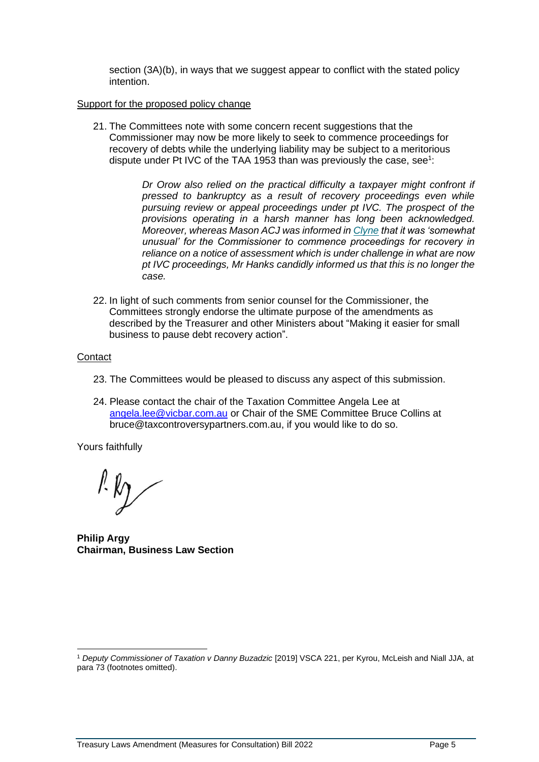section (3A)(b), in ways that we suggest appear to conflict with the stated policy intention.

#### Support for the proposed policy change

21. The Committees note with some concern recent suggestions that the Commissioner may now be more likely to seek to commence proceedings for recovery of debts while the underlying liability may be subject to a meritorious dispute under Pt IVC of the TAA 1953 than was previously the case, see<sup>1</sup>:

> *Dr Orow also relied on the practical difficulty a taxpayer might confront if pressed to bankruptcy as a result of recovery proceedings even while pursuing review or appeal proceedings under pt IVC. The prospect of the provisions operating in a harsh manner has long been acknowledged. Moreover, whereas Mason ACJ was informed in [Clyne](https://jade.io/citation/2360988) that it was 'somewhat unusual' for the Commissioner to commence proceedings for recovery in reliance on a notice of assessment which is under challenge in what are now pt IVC proceedings, Mr Hanks candidly informed us that this is no longer the case.*

22. In light of such comments from senior counsel for the Commissioner, the Committees strongly endorse the ultimate purpose of the amendments as described by the Treasurer and other Ministers about "Making it easier for small business to pause debt recovery action".

## **Contact**

- 23. The Committees would be pleased to discuss any aspect of this submission.
- 24. Please contact the chair of the Taxation Committee Angela Lee at [angela.lee@vicbar.com.au](mailto:angela.lee@vicbar.com.au) or Chair of the SME Committee Bruce Collins at bruce@taxcontroversypartners.com.au, if you would like to do so.

Yours faithfully

 $l'$ k $\gamma$ 

**Philip Argy Chairman, Business Law Section**

<sup>1</sup> *Deputy Commissioner of Taxation v Danny Buzadzic* [2019] VSCA 221, per Kyrou, McLeish and Niall JJA, at para 73 (footnotes omitted).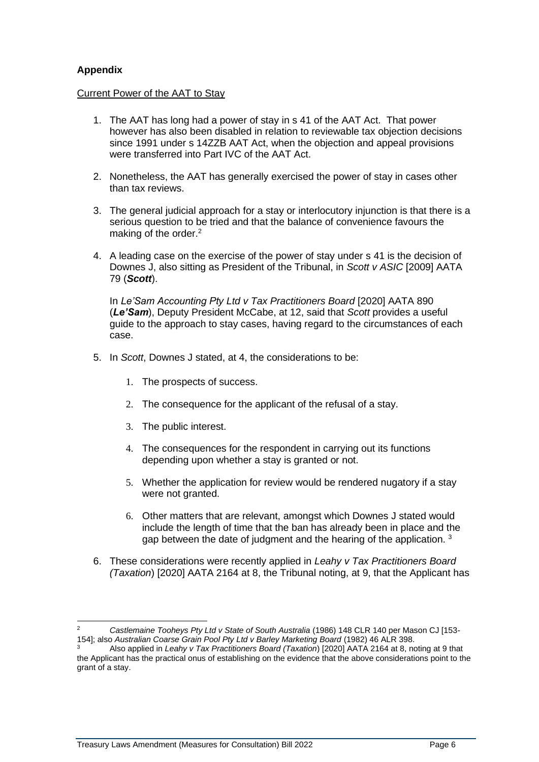# **Appendix**

## Current Power of the AAT to Stay

- 1. The AAT has long had a power of stay in s 41 of the AAT Act. That power however has also been disabled in relation to reviewable tax objection decisions since 1991 under s 14ZZB AAT Act, when the objection and appeal provisions were transferred into Part IVC of the AAT Act.
- 2. Nonetheless, the AAT has generally exercised the power of stay in cases other than tax reviews.
- 3. The general judicial approach for a stay or interlocutory injunction is that there is a serious question to be tried and that the balance of convenience favours the making of the order.<sup>2</sup>
- 4. A leading case on the exercise of the power of stay under s 41 is the decision of Downes J, also sitting as President of the Tribunal, in *Scott v ASIC* [2009] AATA 79 (*Scott*).

In *Le'Sam Accounting Pty Ltd v Tax Practitioners Board* [2020] AATA 890 (*Le'Sam*), Deputy President McCabe, at 12, said that *Scott* provides a useful guide to the approach to stay cases, having regard to the circumstances of each case.

- 5. In *Scott*, Downes J stated, at 4, the considerations to be:
	- 1. The prospects of success.
	- 2. The consequence for the applicant of the refusal of a stay.
	- 3. The public interest.
	- 4. The consequences for the respondent in carrying out its functions depending upon whether a stay is granted or not.
	- 5. Whether the application for review would be rendered nugatory if a stay were not granted.
	- 6. Other matters that are relevant, amongst which Downes J stated would include the length of time that the ban has already been in place and the gap between the date of judgment and the hearing of the application.<sup>3</sup>
- 6. These considerations were recently applied in *Leahy v Tax Practitioners Board (Taxation*) [2020] AATA 2164 at 8, the Tribunal noting, at 9, that the Applicant has

<sup>2</sup> *Castlemaine Tooheys Pty Ltd v State of South Australia* (1986) 148 CLR 140 per Mason CJ [153- 154]; also *Australian Coarse Grain Pool Pty Ltd v Barley Marketing Board* (1982) 46 ALR 398.

<sup>3</sup> Also applied in *Leahy v Tax Practitioners Board (Taxation*) [2020] AATA 2164 at 8, noting at 9 that the Applicant has the practical onus of establishing on the evidence that the above considerations point to the grant of a stay.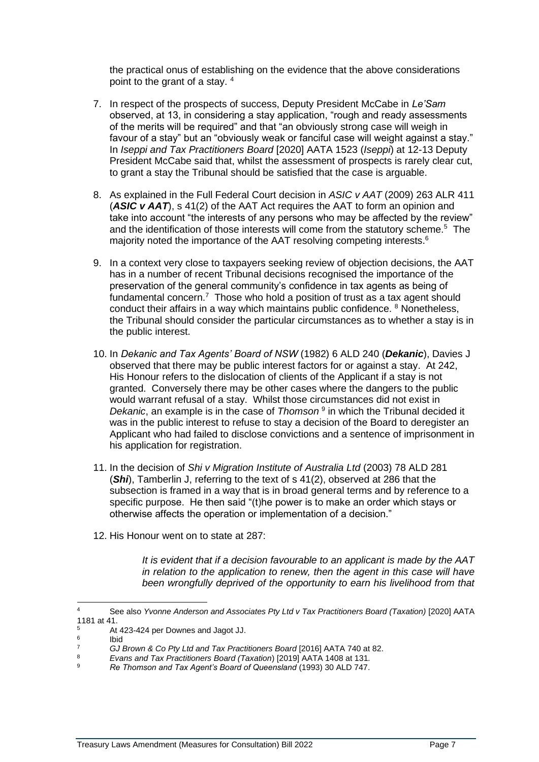the practical onus of establishing on the evidence that the above considerations point to the grant of a stay. <sup>4</sup>

- 7. In respect of the prospects of success, Deputy President McCabe in *Le'Sam* observed, at 13, in considering a stay application, "rough and ready assessments of the merits will be required" and that "an obviously strong case will weigh in favour of a stay" but an "obviously weak or fanciful case will weight against a stay." In *Iseppi and Tax Practitioners Board* [2020] AATA 1523 (*Iseppi*) at 12-13 Deputy President McCabe said that, whilst the assessment of prospects is rarely clear cut, to grant a stay the Tribunal should be satisfied that the case is arguable.
- 8. As explained in the Full Federal Court decision in *ASIC v AAT* (2009) 263 ALR 411 (*ASIC v AAT*), s 41(2) of the AAT Act requires the AAT to form an opinion and take into account "the interests of any persons who may be affected by the review" and the identification of those interests will come from the statutory scheme.<sup>5</sup> The majority noted the importance of the AAT resolving competing interests.<sup>6</sup>
- 9. In a context very close to taxpayers seeking review of objection decisions, the AAT has in a number of recent Tribunal decisions recognised the importance of the preservation of the general community's confidence in tax agents as being of fundamental concern.<sup>7</sup> Those who hold a position of trust as a tax agent should conduct their affairs in a way which maintains public confidence. <sup>8</sup> Nonetheless, the Tribunal should consider the particular circumstances as to whether a stay is in the public interest.
- 10. In *Dekanic and Tax Agents' Board of NSW* (1982) 6 ALD 240 (*Dekanic*), Davies J observed that there may be public interest factors for or against a stay. At 242, His Honour refers to the dislocation of clients of the Applicant if a stay is not granted. Conversely there may be other cases where the dangers to the public would warrant refusal of a stay. Whilst those circumstances did not exist in Dekanic, an example is in the case of *Thomson*<sup>9</sup> in which the Tribunal decided it was in the public interest to refuse to stay a decision of the Board to deregister an Applicant who had failed to disclose convictions and a sentence of imprisonment in his application for registration.
- 11. In the decision of *Shi v Migration Institute of Australia Ltd* (2003) 78 ALD 281 (*Shi*), Tamberlin J, referring to the text of s 41(2), observed at 286 that the subsection is framed in a way that is in broad general terms and by reference to a specific purpose. He then said "(t)he power is to make an order which stays or otherwise affects the operation or implementation of a decision."
- 12. His Honour went on to state at 287:

*It is evident that if a decision favourable to an applicant is made by the AAT in relation to the application to renew, then the agent in this case will have been wrongfully deprived of the opportunity to earn his livelihood from that* 

<sup>4</sup> See also *Yvonne Anderson and Associates Pty Ltd v Tax Practitioners Board (Taxation)* [2020] AATA 1181 at 41.

<sup>5</sup> At 423-424 per Downes and Jagot JJ.

<sup>6</sup> Ibid

<sup>7</sup> *GJ Brown & Co Pty Ltd and Tax Practitioners Board* [2016] AATA 740 at 82.

<sup>8</sup> *Evans and Tax Practitioners Board (Taxation*) [2019] AATA 1408 at 131*.*

<sup>9</sup> *Re Thomson and Tax Agent's Board of Queensland* (1993) 30 ALD 747.